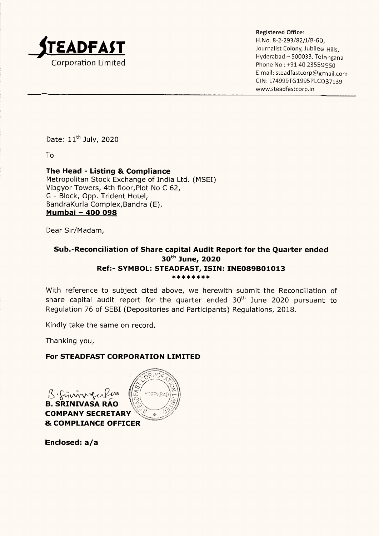

Registered Office:

H.No. 8-2-293/82/)/B-60,  $\Delta$ DFAST Journalist Colony, Jubilee Hills, Hyderabad - 500033, Telangana  $Corporation Limited$ <br>Phone No : +91 40 23559550 E-mail: steadfastcorp@gmail.com CIN: L74999TG1995PLC037139 www.steadfastcorp.in

Date: 11" July, 2020

To

## The Head - Listing & Compliance

Metropolitan Stock Exchange of India Ltd. (MSEI) Vibgyor Towers, 4th floor,Plot No C 62, G - Block, Opp. Trident Hotel, BandraKurla Complex,Bandra (E), Mumbai — 400 098

Dear Sir/Madam,

# Sub.-Reconciliation of Share capital Audit Report for the Quarter ended 30<sup>th</sup> June, 2020 Ref:- SYMBOL: STEADFAST, ISIN: INE089B01013<br>\*\*\*\*\*\*\*\*

With reference to subject cited above, we herewith submit the Reconciliation of share capital audit report for the quarter ended  $30<sup>th</sup>$  June 2020 pursuant to Regulation 76 of SEBI (Depositories and Participants) Regulations, 2018.

Kindly take the same on record.

Thanking you,

#### For STEADFAST CORPORATION LIMITED

& Cavin gerRus HYDERAP B. SRINIVASA RAO \ COMPANY SECRETARY <sup>₩</sup><br>& COMPLIANCE OFFICER

Enclosed: a/a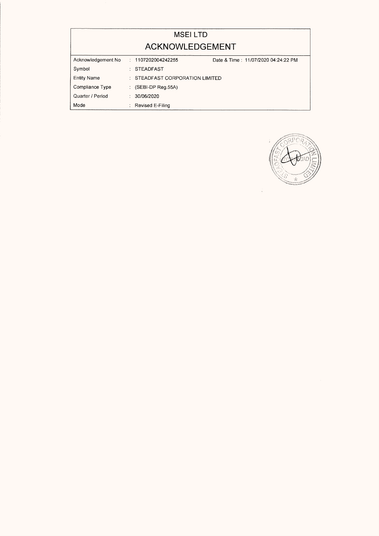|                    | <b>MSEILTD</b>                     |                                     |
|--------------------|------------------------------------|-------------------------------------|
|                    | ACKNOWLEDGEMENT                    |                                     |
| Acknowledgement No | : 1107202004242255                 | Date & Time: 11/07/2020 04:24:22 PM |
| Symbol             | <b>STEADFAST</b><br>$\ddot{\cdot}$ |                                     |
| <b>Entity Name</b> | STEADFAST CORPORATION LIMITED<br>÷ |                                     |
| Compliance Type    | : (SEBI-DP Reg.55A)                |                                     |
| Quarter / Period   | 30/06/2020<br>$\ddot{\cdot}$       |                                     |
| Mode               | : Revised E-Filing                 |                                     |



 $\frac{1}{2}$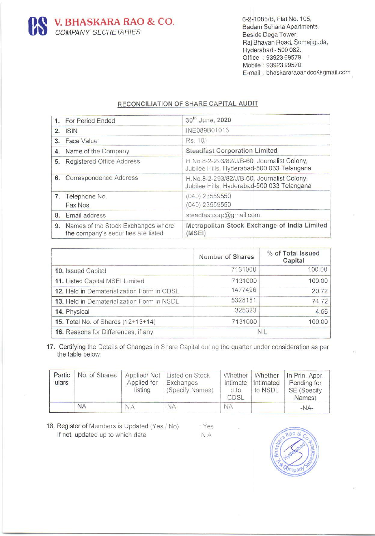

## RECONCILIATION OF SHARE CAPITAL AUDIT

|                         | <b>V. BHASKARA RAO &amp; CO.</b><br><b>COMPANY SECRETARIES</b>                                                                                                  |                                       |           |                                                                                          |                                            |                                                                                                                       |                                                                                                |
|-------------------------|-----------------------------------------------------------------------------------------------------------------------------------------------------------------|---------------------------------------|-----------|------------------------------------------------------------------------------------------|--------------------------------------------|-----------------------------------------------------------------------------------------------------------------------|------------------------------------------------------------------------------------------------|
|                         |                                                                                                                                                                 |                                       |           |                                                                                          |                                            |                                                                                                                       |                                                                                                |
|                         |                                                                                                                                                                 |                                       |           |                                                                                          |                                            |                                                                                                                       |                                                                                                |
|                         |                                                                                                                                                                 |                                       |           |                                                                                          |                                            |                                                                                                                       |                                                                                                |
|                         |                                                                                                                                                                 |                                       |           |                                                                                          |                                            | 6-2-1085/B, Flat No. 105,<br>Beside Dega Tower,<br>Hyderabad - 500 082.<br>Office: 93923 69579<br>Mobile: 93923 99570 | Badam Sohana Apartments.<br>Raj Bhavan Road, Somajiguda,<br>E-mail: bhaskararaoandco@gmail.com |
|                         |                                                                                                                                                                 | RECONCILIATION OF SHARE CAPITAL AUDIT |           |                                                                                          |                                            |                                                                                                                       |                                                                                                |
| 1.                      | For Period Ended                                                                                                                                                |                                       |           | 30th June, 2020                                                                          |                                            |                                                                                                                       |                                                                                                |
| <b>ISIN</b><br>2.<br>3. | Face Value                                                                                                                                                      |                                       |           | INE089B01013<br>Rs. 10/-                                                                 |                                            |                                                                                                                       |                                                                                                |
| 4.                      | Name of the Company                                                                                                                                             |                                       |           | <b>Steadfast Corporation Limited</b>                                                     |                                            |                                                                                                                       |                                                                                                |
|                         | 5. Registered Office Address                                                                                                                                    |                                       |           |                                                                                          | H.No.8-2-293/82/J/B-60, Journalist Colony, |                                                                                                                       |                                                                                                |
|                         | 6. Correspondence Address                                                                                                                                       |                                       |           | Jubilee Hills, Hyderabad-500 033 Telangana                                               |                                            |                                                                                                                       |                                                                                                |
|                         |                                                                                                                                                                 |                                       |           | H.No.8-2-293/82/J/B-60, Journalist Colony,<br>Jubilee Hills, Hyderabad-500 033 Telangana |                                            |                                                                                                                       |                                                                                                |
|                         | 7. Telephone No.                                                                                                                                                |                                       |           | $(040)$ 23559550<br>$(040)$ 23559550                                                     |                                            |                                                                                                                       |                                                                                                |
|                         | Fax Nos.<br>8. Email address                                                                                                                                    |                                       |           |                                                                                          | steadfastcorp@gmail.com                    |                                                                                                                       |                                                                                                |
| 9.                      | Names of the Stock Exchanges where                                                                                                                              |                                       |           |                                                                                          |                                            |                                                                                                                       | Metropolitan Stock Exchange of India Limited                                                   |
|                         | the company's securities are listed.                                                                                                                            |                                       |           | (MSEI)                                                                                   |                                            |                                                                                                                       |                                                                                                |
|                         |                                                                                                                                                                 |                                       |           |                                                                                          |                                            |                                                                                                                       | % of Total Issued                                                                              |
|                         |                                                                                                                                                                 |                                       |           |                                                                                          | Number of Shares                           |                                                                                                                       | Capital                                                                                        |
|                         | 10. Issued Capital                                                                                                                                              |                                       |           |                                                                                          | 100.00<br>7131000                          |                                                                                                                       |                                                                                                |
|                         |                                                                                                                                                                 |                                       |           |                                                                                          |                                            |                                                                                                                       |                                                                                                |
|                         | 11. Listed Capital MSEI Limited<br>12. Held in Dematerialization Form in CDSL                                                                                   |                                       |           |                                                                                          | 7131000<br>1477496                         |                                                                                                                       | 100.00<br>20.72                                                                                |
|                         | 13. Held in Dematerialization Form in NSDL                                                                                                                      |                                       |           |                                                                                          | 5328181                                    |                                                                                                                       | 74.72                                                                                          |
|                         | 14. Physical                                                                                                                                                    |                                       |           |                                                                                          | 325323                                     |                                                                                                                       | 4.56                                                                                           |
|                         | 15. Total No. of Shares (12+13+14)                                                                                                                              |                                       |           |                                                                                          | 7131000                                    | <b>NIL</b>                                                                                                            | 100.00                                                                                         |
|                         | 16. Reasons for Differences, if any<br>17. Certifying the Details of Changes in Share Capital during the quarter under consideration as per<br>the table below: |                                       |           |                                                                                          |                                            |                                                                                                                       |                                                                                                |
| Partic                  | No. of Shares                                                                                                                                                   | Applied/Not                           |           | Listed on Stock                                                                          | Whether                                    | Whether                                                                                                               | In Prin. Appr.                                                                                 |
| ulars                   |                                                                                                                                                                 | Applied for<br>listing                | Exchanges | (Specify Names)                                                                          | intimate<br>d to<br>CDSL                   | intimated<br>to NSDL                                                                                                  | Pending for<br>SE (Specify<br>Names)                                                           |

|                                            | Number of Shares | % of Total Issued<br>Capital |
|--------------------------------------------|------------------|------------------------------|
| 10. Issued Capital                         | 7131000          | 100.00                       |
| 11. Listed Capital MSEI Limited            | 7131000          | 100.00                       |
| 12. Held in Dematerialization Form in CDSL | 1477496          | 20.72                        |
| 13. Held in Dematerialization Form in NSDL | 5328181          | 74.72                        |
| 14. Physical                               | 325323           | 4.56                         |
| 15. Total No. of Shares (12+13+14)         | 7131000          | 100.00                       |
| 16. Reasons for Differences, if any        |                  | <b>NIL</b>                   |

#### the table below: 17. Certifying the Details of Changes in Share Capital during the quarter under consideration as per

| Partic<br>ulars | No. of Shares | Applied for<br>listing | Applied/Not Listed on Stock<br>Exchanges<br>(Specify Names) | Whether<br>intimate<br>d to<br>CDSL | Whether<br>intimated<br>to NSDL | In Prin. Appr.<br>Pending for<br>SE (Specify<br>Names) |
|-----------------|---------------|------------------------|-------------------------------------------------------------|-------------------------------------|---------------------------------|--------------------------------------------------------|
|                 | <b>NA</b>     | NЛ                     | <b>NA</b>                                                   | ΝA                                  |                                 | $-NA-$                                                 |